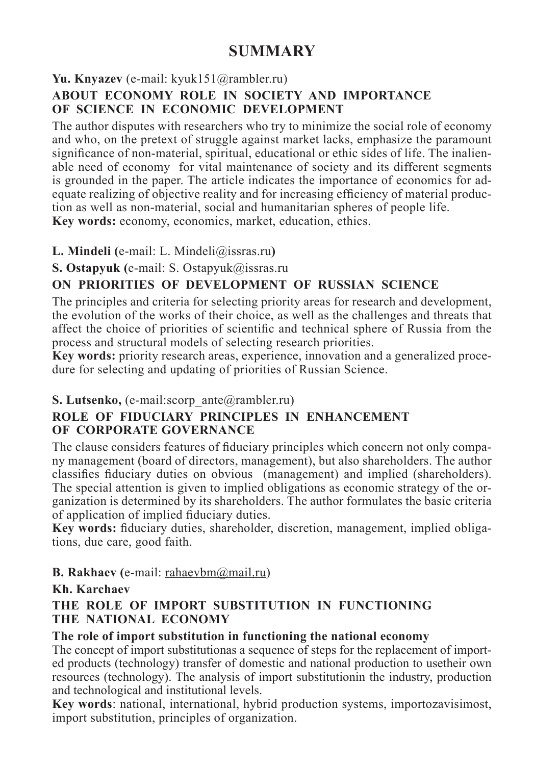# **SUMMARY**

**Yu. Knyazev** (e-mail: kyuk151@rambler.ru)

## **ABOUT ECONOMY ROLE IN SOCIETY AND IMPORTANCE OF SCIENCE IN ECONOMIC DEVELOPMENT**

The author disputes with researchers who try to minimize the social role of economy and who, on the pretext of struggle against market lacks, emphasize the paramount significance of non-material, spiritual, educational or ethic sides of life. The inalienable need of economy for vital maintenance of society and its different segments is grounded in the paper. The article indicates the importance of economics for adequate realizing of objective reality and for increasing efficiency of material production as well as non-material, social and humanitarian spheres of people life. **Key words:** economy, economics, market, education, ethics.

**L. Mindeli (**е-mail: L. Mindeli@issras.ru**)**

**S. Ostapyuk (**е-mail: S. Ostapyuk@issras.ru

### **ON PRIORITIES OF DEVELOPMENT OF RUSSIAN SCIENCE**

The principles and criteria for selecting priority areas for research and development, the evolution of the works of their choice, as well as the challenges and threats that affect the choice of priorities of scientific and technical sphere of Russia from the process and structural models of selecting research priorities.

**Key words:** priority research areas, experience, innovation and a generalized procedure for selecting and updating of priorities of Russian Science.

### **S. Lutsenko,** (e-mail:scorp\_ante@rambler.ru)

### **ROLE OF FIDUCIARY PRINCIPLES IN ENHANCEMENT OF CORPORATE GOVERNANCE**

The clause considers features of fiduciary principles which concern not only company management (board of directors, management), but also shareholders. The author classifies fiduciary duties on obvious (management) and implied (shareholders). The special attention is given to implied obligations as economic strategy of the organization is determined by its shareholders. The author formulates the basic criteria of application of implied fiduciary duties.

**Key words:** fiduciary duties, shareholder, discretion, management, implied obligations, due care, good faith.

#### **B. Rakhaev (**е-mail: rahaevbm@mail.ru)

#### **Kh. Karchaev**

### **THE ROLE OF IMPORT SUBSTITUTION IN FUNCTIONING THE NATIONAL ECONOMY**

#### **The role of import substitution in functioning the national economy**

The concept of import substitutionas a sequence of steps for the replacement of imported products (technology) transfer of domestic and national production to usetheir own resources (technology). The analysis of import substitutionin the industry, production and technological and institutional levels.

**Key words**: national, international, hybrid production systems, importozavisimost, import substitution, principles of organization.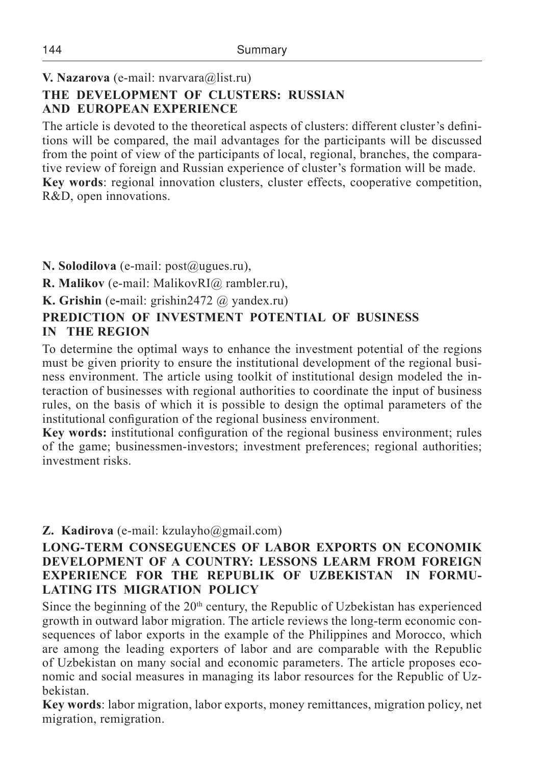## **V. Nazarova** (е-mail: nvarvara@list.ru)

# **THE DEVELOPMENT OF CLUSTERS: RUSSIAN AND EUROPEAN EXPERIENCE**

The article is devoted to the theoretical aspects of clusters: different cluster's definitions will be compared, the mail advantages for the participants will be discussed from the point of view of the participants of local, regional, branches, the comparative review of foreign and Russian experience of cluster's formation will be made. **Key words**: regional innovation clusters, cluster effects, cooperative competition, R&D, open innovations.

**N. Solodilova** (е-mail: post@ugues.ru),

**R. Malikov** (е-mail: MalikovRI@ rambler.ru),

**K. Grishin** (е**-**mail: grishin2472 @ yandex.ru)

# **PREDICTION OF INVESTMENT POTENTIAL OF BUSINESS IN THE REGION**

To determine the optimal ways to enhance the investment potential of the regions must be given priority to ensure the institutional development of the regional business environment. The article using toolkit of institutional design modeled the interaction of businesses with regional authorities to coordinate the input of business rules, on the basis of which it is possible to design the optimal parameters of the institutional configuration of the regional business environment.

**Key words:** institutional configuration of the regional business environment; rules of the game; businessmen-investors; investment preferences; regional authorities; investment risks.

# **Z. Kadirova** (e-mail: kzulayho@gmail.com)

### **LONG-TERM CONSEGUENCES OF LABOR EXPORTS ON ECONOMIK DEVELOPMENT OF A COUNTRY: LESSONS LEARM FROM FOREIGN EXPERIENCE FOR THE REPUBLIK OF UZBEKISTAN IN FORMU-LATING ITS MIGRATION POLICY**

Since the beginning of the  $20<sup>th</sup>$  century, the Republic of Uzbekistan has experienced growth in outward labor migration. The article reviews the long-term economic consequences of labor exports in the example of the Philippines and Morocco, which are among the leading exporters of labor and are comparable with the Republic of Uzbekistan on many social and economic parameters. The article proposes economic and social measures in managing its labor resources for the Republic of Uzbekistan.

**Key words**: labor migration, labor exports, money remittances, migration policy, net migration, remigration.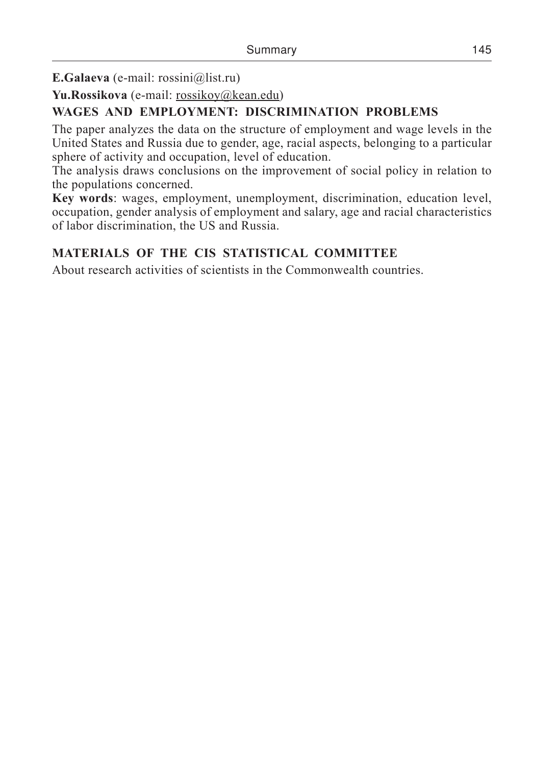**E.Galaeva** (е-mail: rossini@list.ru)

**Yu.Rossikova** (е-mail: rossikoy@kean.edu)

# **WAGES AND EMPLOYMENT: DISCRIMINATION PROBLEMS**

The paper analyzes the data on the structure of employment and wage levels in the United States and Russia due to gender, age, racial aspects, belonging to a particular sphere of activity and occupation, level of education.

The analysis draws conclusions on the improvement of social policy in relation to the populations concerned.

**Key words**: wages, employment, unemployment, discrimination, education level, occupation, gender analysis of employment and salary, age and racial characteristics of labor discrimination, the US and Russia.

# **MATERIALS OF THE CIS STATISTICAL COMMITTEE**

Аbout research activities of scientists in the Commonwealth countries.